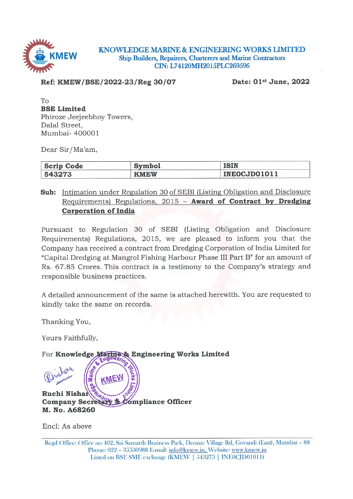

KNOWLEDGE MARINE & ENGINEERING WORKS LIMITED Ship Builders, Repairers, Charterers and Marine Contractors CIN: L74120MH2015PLC269596

Ref: KMEW/BSE/2022-23/Reg 30/07

Date: 01st June, 2022

To **BSE Limited** Phiroze Jeejeebhoy Towers, Dalal Street, Mumbai- 400001

Dear Sir/Ma'am,

| <b>Scrip Code</b> | <b>Symbol</b> | ISIN         |
|-------------------|---------------|--------------|
| 543273            | <b>KMEW</b>   | INEOCJD01011 |

# Sub: Intimation under Regulation 30 of SEBI (Listing Obligation and Disclosure Requirements) Regulations, 2015 - Award of Contract by Dredging **Corporation of India**

Pursuant to Regulation 30 of SEBI (Listing Obligation and Disclosure Requirements) Regulations, 2015, we are pleased to inform you that the Company has received a contract from Dredging Corporation of India Limited for "Capital Dredging at Mangrol Fishing Harbour Phase III Part B" for an amount of Rs. 67.85 Crores. This contract is a testimony to the Company's strategy and responsible business practices.

A detailed announcement of the same is attached herewith. You are requested to kindly take the same on records.

Thanking You,

Yours Faithfully,

For Knowledge Marine & Engineering Works Limited Ruchi Nishan Company Secretary & Compliance Officer M. No. A68260

Encl: As above

Regd Office: Office no 402, Sai Samarth Business Park, Deonar Village Rd, Govandi (East), Mumbai - 88 Phone: 022 - 35530988 E-mail: info@kmew.in, Website: www.kmew.in Listed on BSE SME exchange (KMEW | 543273 | INE0CJD01011)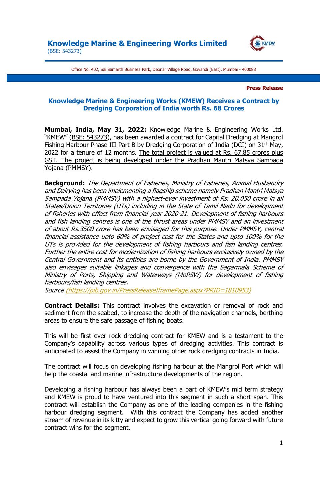

Office No. 402, Sai Samarth Business Park, Deonar Village Road, Govandi (East), Mumbai - 400088

**Press Release**

# **Knowledge Marine & Engineering Works (KMEW) Receives a Contract by Dredging Corporation of India worth Rs. 68 Crores**

**Mumbai, India, May 31, 2022:** Knowledge Marine & Engineering Works Ltd. "KMEW" (BSE: 543273), has been awarded a contract for Capital Dredging at Mangrol Fishing Harbour Phase III Part B by Dredging Corporation of India (DCI) on 31<sup>st</sup> May, 2022 for a tenure of 12 months. The total project is valued at Rs. 67.85 crores plus GST. The project is being developed under the Pradhan Mantri Matsya Sampada Yojana (PMMSY).

**Background:** The Department of Fisheries, Ministry of Fisheries, Animal Husbandry and Dairying has been implementing a flagship scheme namely Pradhan Mantri Matsya Sampada Yojana (PMMSY) with a highest-ever investment of Rs. 20,050 crore in all States/Union Territories (UTs) including in the State of Tamil Nadu for development of fisheries with effect from financial year 2020-21. Development of fishing harbours and fish landing centres is one of the thrust areas under PMMSY and an investment of about Rs.3500 crore has been envisaged for this purpose. Under PMMSY, central financial assistance upto 60% of project cost for the States and upto 100% for the UTs is provided for the development of fishing harbours and fish landing centres. Further the entire cost for modernization of fishing harbours exclusively owned by the Central Government and its entities are borne by the Government of India. PMMSY also envisages suitable linkages and convergence with the Sagarmala Scheme of Ministry of Ports, Shipping and Waterways (MoPSW) for development of fishing harbours/fish landing centres.

Source (https://pib.gov.in/PressReleaseIframePage.aspx?PRID=1810953)

**Contract Details:** This contract involves the excavation or removal of rock and sediment from the seabed, to increase the depth of the navigation channels, berthing areas to ensure the safe passage of fishing boats.

This will be first ever rock dredging contract for KMEW and is a testament to the Company's capability across various types of dredging activities. This contract is anticipated to assist the Company in winning other rock dredging contracts in India.

The contract will focus on developing fishing harbour at the Mangrol Port which will help the coastal and marine infrastructure developments of the region.

Developing a fishing harbour has always been a part of KMEW's mid term strategy and KMEW is proud to have ventured into this segment in such a short span. This contract will establish the Company as one of the leading companies in the fishing harbour dredging segment. With this contract the Company has added another stream of revenue in its kitty and expect to grow this vertical going forward with future contract wins for the segment.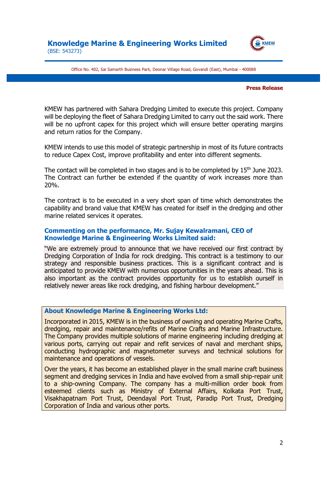

Office No. 402, Sai Samarth Business Park, Deonar Village Road, Govandi (East), Mumbai - 400088

#### **Press Release**

KMEW has partnered with Sahara Dredging Limited to execute this project. Company will be deploying the fleet of Sahara Dredging Limited to carry out the said work. There will be no upfront capex for this project which will ensure better operating margins and return ratios for the Company.

KMEW intends to use this model of strategic partnership in most of its future contracts to reduce Capex Cost, improve profitability and enter into different segments.

The contact will be completed in two stages and is to be completed by 15<sup>th</sup> June 2023. The Contract can further be extended if the quantity of work increases more than 20%.

The contract is to be executed in a very short span of time which demonstrates the capability and brand value that KMEW has created for itself in the dredging and other marine related services it operates.

# **Commenting on the performance, Mr. Sujay Kewalramani, CEO of Knowledge Marine & Engineering Works Limited said:**

"We are extremely proud to announce that we have received our first contract by Dredging Corporation of India for rock dredging. This contract is a testimony to our strategy and responsible business practices. This is a significant contract and is anticipated to provide KMEW with numerous opportunities in the years ahead. This is also important as the contract provides opportunity for us to establish ourself in relatively newer areas like rock dredging, and fishing harbour development."

## **About Knowledge Marine & Engineering Works Ltd:**

Incorporated in 2015, KMEW is in the business of owning and operating Marine Crafts, dredging, repair and maintenance/refits of Marine Crafts and Marine Infrastructure. The Company provides multiple solutions of marine engineering including dredging at various ports, carrying out repair and refit services of naval and merchant ships, conducting hydrographic and magnetometer surveys and technical solutions for maintenance and operations of vessels.

Over the years, it has become an established player in the small marine craft business segment and dredging services in India and have evolved from a small ship-repair unit to a ship-owning Company. The company has a multi-million order book from esteemed clients such as Ministry of External Affairs, Kolkata Port Trust, Visakhapatnam Port Trust, Deendayal Port Trust, Paradip Port Trust, Dredging Corporation of India and various other ports.